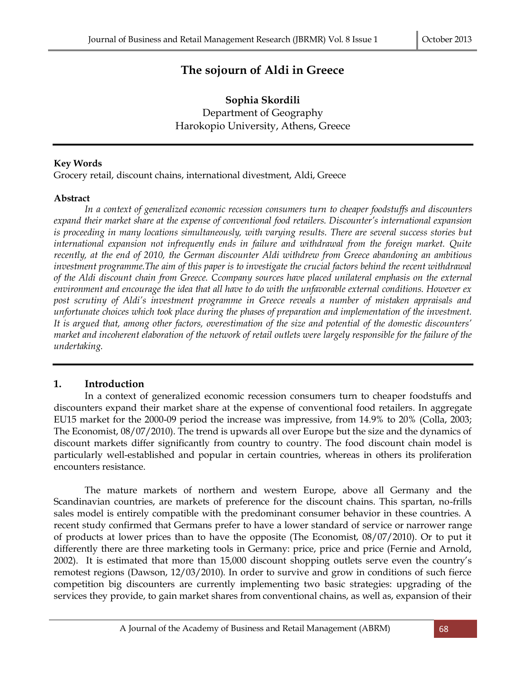# **The sojourn of Aldi in Greece**

**Sophia Skordili**  Department of Geography Harokopio University, Athens, Greece

#### **Key Words**

Grocery retail, discount chains, international divestment, Aldi, Greece

#### **Abstract**

*In a context of generalized economic recession consumers turn to cheaper foodstuffs and discounters expand their market share at the expense of conventional food retailers. Discounter's international expansion is proceeding in many locations simultaneously, with varying results. There are several success stories but international expansion not infrequently ends in failure and withdrawal from the foreign market. Quite recently, at the end of 2010, the German discounter Aldi withdrew from Greece abandoning an ambitious investment programme.The aim of this paper is to investigate the crucial factors behind the recent withdrawal of the Aldi discount chain from Greece. Ccompany sources have placed unilateral emphasis on the external environment and encourage the idea that all have to do with the unfavorable external conditions. However ex post scrutiny of Aldi's investment programme in Greece reveals a number of mistaken appraisals and unfortunate choices which took place during the phases of preparation and implementation of the investment. It is argued that, among other factors, overestimation of the size and potential of the domestic discounters' market and incoherent elaboration of the network of retail outlets were largely responsible for the failure of the undertaking.* 

#### **1. Introduction**

In a context of generalized economic recession consumers turn to cheaper foodstuffs and discounters expand their market share at the expense of conventional food retailers. In aggregate EU15 market for the 2000-09 period the increase was impressive, from 14.9% to 20% (Colla, 2003; The Economist, 08/07/2010). The trend is upwards all over Europe but the size and the dynamics of discount markets differ significantly from country to country. The food discount chain model is particularly well-established and popular in certain countries, whereas in others its proliferation encounters resistance.

The mature markets of northern and western Europe, above all Germany and the Scandinavian countries, are markets of preference for the discount chains. This spartan, no-frills sales model is entirely compatible with the predominant consumer behavior in these countries. A recent study confirmed that Germans prefer to have a lower standard of service or narrower range of products at lower prices than to have the opposite (The Economist, 08/07/2010). Or to put it differently there are three marketing tools in Germany: price, price and price (Fernie and Arnold, 2002). It is estimated that more than 15,000 discount shopping outlets serve even the country's remotest regions (Dawson, 12/03/2010). In order to survive and grow in conditions of such fierce competition big discounters are currently implementing two basic strategies: upgrading of the services they provide, to gain market shares from conventional chains, as well as, expansion of their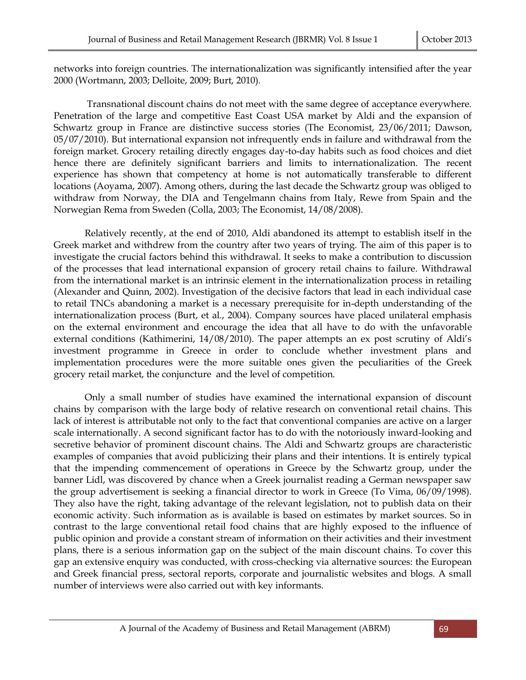networks into foreign countries. The internationalization was significantly intensified after the year 2000 (Wortmann, 2003; Delloite, 2009; Burt, 2010).

Transnational discount chains do not meet with the same degree of acceptance everywhere. Penetration of the large and competitive East Coast USA market by Aldi and the expansion of Schwartz group in France are distinctive success stories (The Economist, 23/06/2011; Dawson, 05/07/2010). But international expansion not infrequently ends in failure and withdrawal from the foreign market. Grocery retailing directly engages day-to-day habits such as food choices and diet hence there are definitely significant barriers and limits to internationalization. The recent experience has shown that competency at home is not automatically transferable to different locations (Aoyama, 2007). Among others, during the last decade the Schwartz group was obliged to withdraw from Norway, the DIA and Tengelmann chains from Italy, Rewe from Spain and the Norwegian Rema from Sweden (Colla, 2003; The Economist, 14/08/2008).

Relatively recently, at the end of 2010, Aldi abandoned its attempt to establish itself in the Greek market and withdrew from the country after two years of trying. The aim of this paper is to investigate the crucial factors behind this withdrawal. It seeks to make a contribution to discussion of the processes that lead international expansion of grocery retail chains to failure. Withdrawal from the international market is an intrinsic element in the internationalization process in retailing (Alexander and Quinn, 2002). Investigation of the decisive factors that lead in each individual case to retail TNCs abandoning a market is a necessary prerequisite for in-depth understanding of the internationalization process (Burt, et al., 2004). Company sources have placed unilateral emphasis on the external environment and encourage the idea that all have to do with the unfavorable external conditions (Kathimerini, 14/08/2010). The paper attempts an ex post scrutiny of Aldi's investment programme in Greece in order to conclude whether investment plans and implementation procedures were the more suitable ones given the peculiarities of the Greek grocery retail market, the conjuncture and the level of competition.

Only a small number of studies have examined the international expansion of discount chains by comparison with the large body of relative research on conventional retail chains. This lack of interest is attributable not only to the fact that conventional companies are active on a larger scale internationally. A second significant factor has to do with the notoriously inward-looking and secretive behavior of prominent discount chains. The Aldi and Schwartz groups are characteristic examples of companies that avoid publicizing their plans and their intentions. It is entirely typical that the impending commencement of operations in Greece by the Schwartz group, under the banner Lidl, was discovered by chance when a Greek journalist reading a German newspaper saw the group advertisement is seeking a financial director to work in Greece (To Vima, 06/09/1998). They also have the right, taking advantage of the relevant legislation, not to publish data on their economic activity. Such information as is available is based on estimates by market sources. So in contrast to the large conventional retail food chains that are highly exposed to the influence of public opinion and provide a constant stream of information on their activities and their investment plans, there is a serious information gap on the subject of the main discount chains. To cover this gap an extensive enquiry was conducted, with cross-checking via alternative sources: the European and Greek financial press, sectoral reports, corporate and journalistic websites and blogs. A small number of interviews were also carried out with key informants.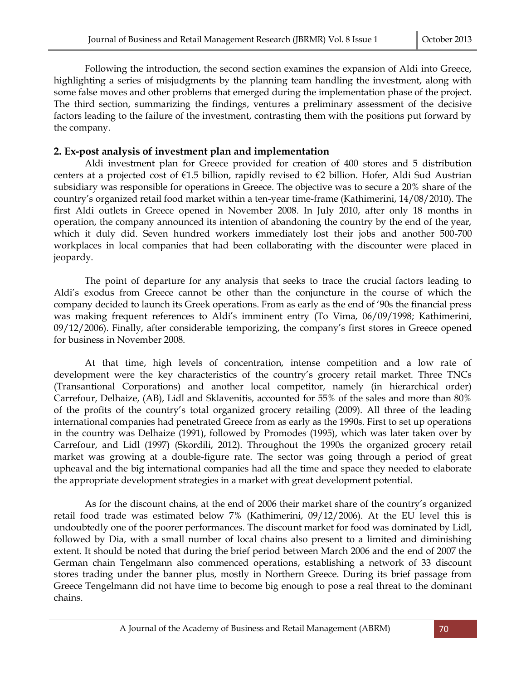Following the introduction, the second section examines the expansion of Aldi into Greece, highlighting a series of misjudgments by the planning team handling the investment, along with some false moves and other problems that emerged during the implementation phase of the project. The third section, summarizing the findings, ventures a preliminary assessment of the decisive factors leading to the failure of the investment, contrasting them with the positions put forward by the company.

### **2. Εx-post analysis of investment plan and implementation**

Aldi investment plan for Greece provided for creation of 400 stores and 5 distribution centers at a projected cost of  $\epsilon$ 1.5 billion, rapidly revised to  $\epsilon$ 2 billion. Hofer, Aldi Sud Austrian subsidiary was responsible for operations in Greece. The objective was to secure a 20% share of the country's organized retail food market within a ten-year time-frame (Kathimerini, 14/08/2010). The first Aldi outlets in Greece opened in November 2008. In July 2010, after only 18 months in operation, the company announced its intention of abandoning the country by the end of the year, which it duly did. Seven hundred workers immediately lost their jobs and another 500-700 workplaces in local companies that had been collaborating with the discounter were placed in jeopardy.

The point of departure for any analysis that seeks to trace the crucial factors leading to Aldi's exodus from Greece cannot be other than the conjuncture in the course of which the company decided to launch its Greek operations. From as early as the end of '90s the financial press was making frequent references to Aldi's imminent entry (To Vima, 06/09/1998; Kathimerini, 09/12/2006). Finally, after considerable temporizing, the company's first stores in Greece opened for business in November 2008.

At that time, high levels of concentration, intense competition and a low rate of development were the key characteristics of the country's grocery retail market. Three TNCs (Transantional Corporations) and another local competitor, namely (in hierarchical order) Carrefour, Delhaize, (AB), Lidl and Sklavenitis, accounted for 55% of the sales and more than 80% of the profits of the country's total organized grocery retailing (2009). All three of the leading international companies had penetrated Greece from as early as the 1990s. First to set up operations in the country was Delhaize (1991), followed by Promodes (1995), which was later taken over by Carrefour, and Lidl (1997) (Skordili, 2012). Throughout the 1990s the organized grocery retail market was growing at a double-figure rate. The sector was going through a period of great upheaval and the big international companies had all the time and space they needed to elaborate the appropriate development strategies in a market with great development potential.

As for the discount chains, at the end of 2006 their market share of the country's organized retail food trade was estimated below 7% (Kathimerini, 09/12/2006). At the EU level this is undoubtedly one of the poorer performances. The discount market for food was dominated by Lidl, followed by Dia, with a small number of local chains also present to a limited and diminishing extent. It should be noted that during the brief period between March 2006 and the end of 2007 the German chain Tengelmann also commenced operations, establishing a network of 33 discount stores trading under the banner plus, mostly in Northern Greece. During its brief passage from Greece Tengelmann did not have time to become big enough to pose a real threat to the dominant chains.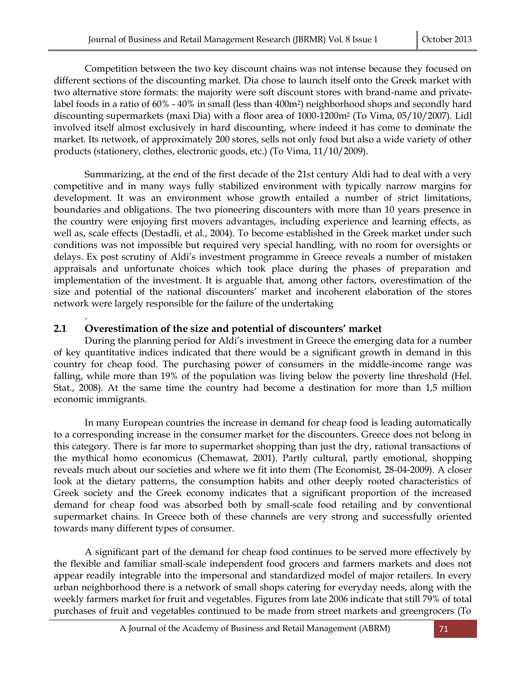Competition between the two key discount chains was not intense because they focused on different sections of the discounting market. Dia chose to launch itself onto the Greek market with two alternative store formats: the majority were soft discount stores with brand-name and privatelabel foods in a ratio of 60% - 40% in small (less than 400m2) neighborhood shops and secondly hard discounting supermarkets (maxi Dia) with a floor area of 1000-1200m<sup>2</sup> (To Vima, 05/10/2007). Lidl involved itself almost exclusively in hard discounting, where indeed it has come to dominate the market. Its network, of approximately 200 stores, sells not only food but also a wide variety of other products (stationery, clothes, electronic goods, etc.) (To Vima, 11/10/2009).

Summarizing, at the end of the first decade of the 21st century Aldi had to deal with a very competitive and in many ways fully stabilized environment with typically narrow margins for development. It was an environment whose growth entailed a number of strict limitations, boundaries and obligations. The two pioneering discounters with more than 10 years presence in the country were enjoying first movers advantages, including experience and learning effects, as well as, scale effects (Destadli, et al., 2004). To become established in the Greek market under such conditions was not impossible but required very special handling, with no room for oversights or delays. Ex post scrutiny of Aldi's investment programme in Greece reveals a number of mistaken appraisals and unfortunate choices which took place during the phases of preparation and implementation of the investment. It is arguable that, among other factors, overestimation of the size and potential of the national discounters' market and incoherent elaboration of the stores network were largely responsible for the failure of the undertaking

## **2.1 Overestimation of the size and potential of discounters' market**

.

During the planning period for Aldi's investment in Greece the emerging data for a number of key quantitative indices indicated that there would be a significant growth in demand in this country for cheap food. The purchasing power of consumers in the middle-income range was falling, while more than 19% of the population was living below the poverty line threshold (Hel. Stat., 2008). At the same time the country had become a destination for more than 1,5 million economic immigrants.

In many European countries the increase in demand for cheap food is leading automatically to a corresponding increase in the consumer market for the discounters. Greece does not belong in this category. There is far more to supermarket shopping than just the dry, rational transactions of the mythical homo economicus (Chemawat, 2001). Partly cultural, partly emotional, shopping reveals much about our societies and where we fit into them (The Economist, 28-04-2009). A closer look at the dietary patterns, the consumption habits and other deeply rooted characteristics of Greek society and the Greek economy indicates that a significant proportion of the increased demand for cheap food was absorbed both by small-scale food retailing and by conventional supermarket chains. In Greece both of these channels are very strong and successfully oriented towards many different types of consumer.

A significant part of the demand for cheap food continues to be served more effectively by the flexible and familiar small-scale independent food grocers and farmers markets and does not appear readily integrable into the impersonal and standardized model of major retailers. In every urban neighborhood there is a network of small shops catering for everyday needs, along with the weekly farmers market for fruit and vegetables. Figures from late 2006 indicate that still 79% of total purchases of fruit and vegetables continued to be made from street markets and greengrocers (To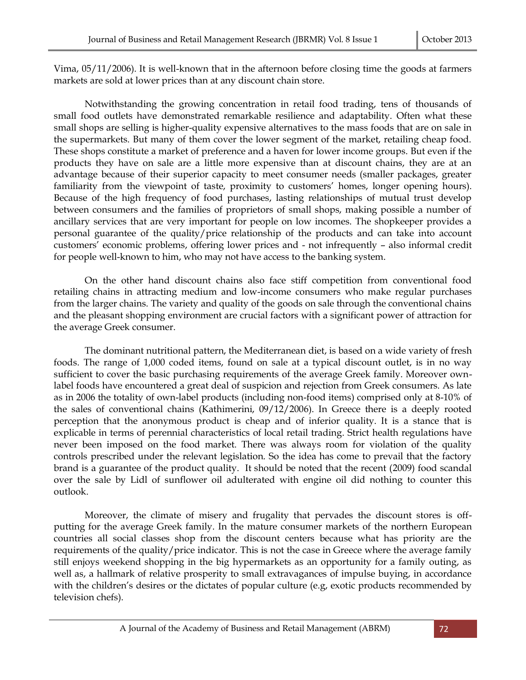Vima, 05/11/2006). It is well-known that in the afternoon before closing time the goods at farmers markets are sold at lower prices than at any discount chain store.

Notwithstanding the growing concentration in retail food trading, tens of thousands of small food outlets have demonstrated remarkable resilience and adaptability. Often what these small shops are selling is higher-quality expensive alternatives to the mass foods that are on sale in the supermarkets. But many of them cover the lower segment of the market, retailing cheap food. These shops constitute a market of preference and a haven for lower income groups. But even if the products they have on sale are a little more expensive than at discount chains, they are at an advantage because of their superior capacity to meet consumer needs (smaller packages, greater familiarity from the viewpoint of taste, proximity to customers' homes, longer opening hours). Because of the high frequency of food purchases, lasting relationships of mutual trust develop between consumers and the families of proprietors of small shops, making possible a number of ancillary services that are very important for people on low incomes. The shopkeeper provides a personal guarantee of the quality/price relationship of the products and can take into account customers' economic problems, offering lower prices and - not infrequently – also informal credit for people well-known to him, who may not have access to the banking system.

On the other hand discount chains also face stiff competition from conventional food retailing chains in attracting medium and low-income consumers who make regular purchases from the larger chains. The variety and quality of the goods on sale through the conventional chains and the pleasant shopping environment are crucial factors with a significant power of attraction for the average Greek consumer.

The dominant nutritional pattern, the Mediterranean diet, is based on a wide variety of fresh foods. The range of 1,000 coded items, found on sale at a typical discount outlet, is in no way sufficient to cover the basic purchasing requirements of the average Greek family. Moreover ownlabel foods have encountered a great deal of suspicion and rejection from Greek consumers. As late as in 2006 the totality of own-label products (including non-food items) comprised only at 8-10% of the sales of conventional chains (Kathimerini, 09/12/2006). In Greece there is a deeply rooted perception that the anonymous product is cheap and of inferior quality. It is a stance that is explicable in terms of perennial characteristics of local retail trading. Strict health regulations have never been imposed on the food market. There was always room for violation of the quality controls prescribed under the relevant legislation. So the idea has come to prevail that the factory brand is a guarantee of the product quality. It should be noted that the recent (2009) food scandal over the sale by Lidl of sunflower oil adulterated with engine oil did nothing to counter this outlook.

Moreover, the climate of misery and frugality that pervades the discount stores is offputting for the average Greek family. In the mature consumer markets of the northern European countries all social classes shop from the discount centers because what has priority are the requirements of the quality/price indicator. This is not the case in Greece where the average family still enjoys weekend shopping in the big hypermarkets as an opportunity for a family outing, as well as, a hallmark of relative prosperity to small extravagances of impulse buying, in accordance with the children's desires or the dictates of popular culture (e.g, exotic products recommended by television chefs).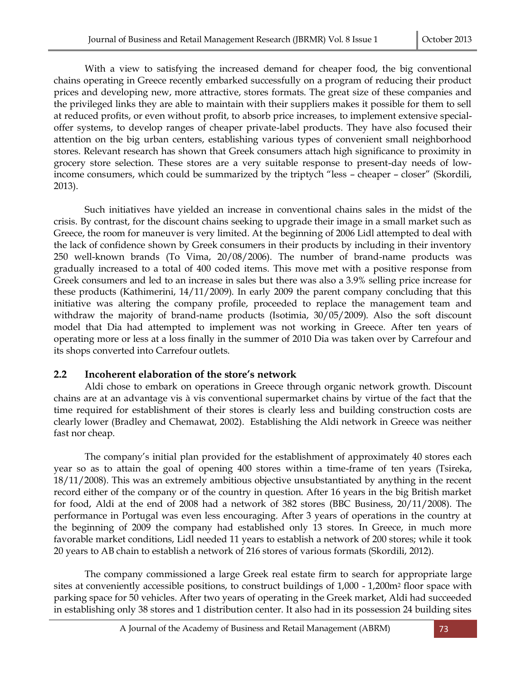With a view to satisfying the increased demand for cheaper food, the big conventional chains operating in Greece recently embarked successfully on a program of reducing their product prices and developing new, more attractive, stores formats. The great size of these companies and the privileged links they are able to maintain with their suppliers makes it possible for them to sell at reduced profits, or even without profit, to absorb price increases, to implement extensive specialoffer systems, to develop ranges of cheaper private-label products. They have also focused their attention on the big urban centers, establishing various types of convenient small neighborhood stores. Relevant research has shown that Greek consumers attach high significance to proximity in grocery store selection. These stores are a very suitable response to present-day needs of lowincome consumers, which could be summarized by the triptych "less – cheaper – closer" (Skordili, 2013).

Such initiatives have yielded an increase in conventional chains sales in the midst of the crisis. By contrast, for the discount chains seeking to upgrade their image in a small market such as Greece, the room for maneuver is very limited. At the beginning of 2006 Lidl attempted to deal with the lack of confidence shown by Greek consumers in their products by including in their inventory 250 well-known brands (To Vima, 20/08/2006). The number of brand-name products was gradually increased to a total of 400 coded items. This move met with a positive response from Greek consumers and led to an increase in sales but there was also a 3.9% selling price increase for these products (Kathimerini, 14/11/2009). In early 2009 the parent company concluding that this initiative was altering the company profile, proceeded to replace the management team and withdraw the majority of brand-name products (Isotimia, 30/05/2009). Also the soft discount model that Dia had attempted to implement was not working in Greece. After ten years of operating more or less at a loss finally in the summer of 2010 Dia was taken over by Carrefour and its shops converted into Carrefour outlets.

### **2.2 Incoherent elaboration of the store's network**

Aldi chose to embark on operations in Greece through organic network growth. Discount chains are at an advantage vis à vis conventional supermarket chains by virtue of the fact that the time required for establishment of their stores is clearly less and building construction costs are clearly lower (Bradley and Chemawat, 2002). Establishing the Aldi network in Greece was neither fast nor cheap.

The company's initial plan provided for the establishment of approximately 40 stores each year so as to attain the goal of opening 400 stores within a time-frame of ten years (Τsireka, 18/11/2008). This was an extremely ambitious objective unsubstantiated by anything in the recent record either of the company or of the country in question. After 16 years in the big British market for food, Aldi at the end of 2008 had a network of 382 stores (BBC Business, 20/11/2008). The performance in Portugal was even less encouraging. After 3 years of operations in the country at the beginning of 2009 the company had established only 13 stores. In Greece, in much more favorable market conditions, Lidl needed 11 years to establish a network of 200 stores; while it took 20 years to AB chain to establish a network of 216 stores of various formats (Skordili, 2012).

The company commissioned a large Greek real estate firm to search for appropriate large sites at conveniently accessible positions, to construct buildings of 1,000 - 1,200m<sup>2</sup> floor space with parking space for 50 vehicles. After two years of operating in the Greek market, Aldi had succeeded in establishing only 38 stores and 1 distribution center. It also had in its possession 24 building sites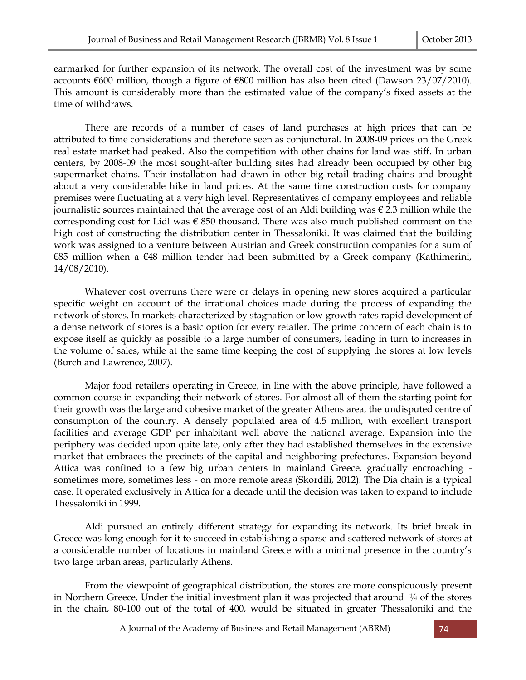earmarked for further expansion of its network. The overall cost of the investment was by some accounts €600 million, though a figure of €800 million has also been cited (Dawson 23/07/2010). This amount is considerably more than the estimated value of the company's fixed assets at the time of withdraws.

There are records of a number of cases of land purchases at high prices that can be attributed to time considerations and therefore seen as conjunctural. In 2008-09 prices on the Greek real estate market had peaked. Also the competition with other chains for land was stiff. In urban centers, by 2008-09 the most sought-after building sites had already been occupied by other big supermarket chains. Their installation had drawn in other big retail trading chains and brought about a very considerable hike in land prices. At the same time construction costs for company premises were fluctuating at a very high level. Representatives of company employees and reliable journalistic sources maintained that the average cost of an Aldi building was  $\epsilon$  2.3 million while the corresponding cost for Lidl was  $\epsilon$  850 thousand. There was also much published comment on the high cost of constructing the distribution center in Thessaloniki. It was claimed that the building work was assigned to a venture between Austrian and Greek construction companies for a sum of €85 million when a €48 million tender had been submitted by a Greek company (Kathimerini, 14/08/2010).

Whatever cost overruns there were or delays in opening new stores acquired a particular specific weight on account of the irrational choices made during the process of expanding the network of stores. In markets characterized by stagnation or low growth rates rapid development of a dense network of stores is a basic option for every retailer. The prime concern of each chain is to expose itself as quickly as possible to a large number of consumers, leading in turn to increases in the volume of sales, while at the same time keeping the cost of supplying the stores at low levels (Burch and Lawrence, 2007).

Major food retailers operating in Greece, in line with the above principle, have followed a common course in expanding their network of stores. For almost all of them the starting point for their growth was the large and cohesive market of the greater Athens area, the undisputed centre of consumption of the country. A densely populated area of 4.5 million, with excellent transport facilities and average GDP per inhabitant well above the national average. Expansion into the periphery was decided upon quite late, only after they had established themselves in the extensive market that embraces the precincts of the capital and neighboring prefectures. Expansion beyond Attica was confined to a few big urban centers in mainland Greece, gradually encroaching sometimes more, sometimes less - on more remote areas (Skordili, 2012). The Dia chain is a typical case. It operated exclusively in Attica for a decade until the decision was taken to expand to include Thessaloniki in 1999.

Aldi pursued an entirely different strategy for expanding its network. Its brief break in Greece was long enough for it to succeed in establishing a sparse and scattered network of stores at a considerable number of locations in mainland Greece with a minimal presence in the country's two large urban areas, particularly Athens.

From the viewpoint of geographical distribution, the stores are more conspicuously present in Northern Greece. Under the initial investment plan it was projected that around  $\frac{1}{4}$  of the stores in the chain, 80-100 out of the total of 400, would be situated in greater Thessaloniki and the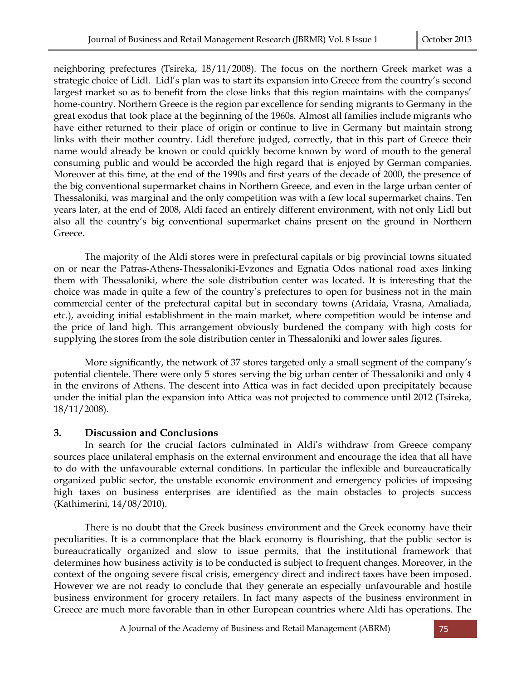neighboring prefectures (Tsireka, 18/11/2008). The focus on the northern Greek market was a strategic choice of Lidl. Lidl's plan was to start its expansion into Greece from the country's second largest market so as to benefit from the close links that this region maintains with the companys' home-country. Northern Greece is the region par excellence for sending migrants to Germany in the great exodus that took place at the beginning of the 1960s. Almost all families include migrants who have either returned to their place of origin or continue to live in Germany but maintain strong links with their mother country. Lidl therefore judged, correctly, that in this part of Greece their name would already be known or could quickly become known by word of mouth to the general consuming public and would be accorded the high regard that is enjoyed by German companies. Moreover at this time, at the end of the 1990s and first years of the decade of 2000, the presence of the big conventional supermarket chains in Northern Greece, and even in the large urban center of Thessaloniki, was marginal and the only competition was with a few local supermarket chains. Ten years later, at the end of 2008, Aldi faced an entirely different environment, with not only Lidl but also all the country's big conventional supermarket chains present on the ground in Northern Greece.

The majority of the Aldi stores were in prefectural capitals or big provincial towns situated on or near the Patras-Athens-Thessaloniki-Evzones and Egnatia Odos national road axes linking them with Thessaloniki, where the sole distribution center was located. It is interesting that the choice was made in quite a few of the country's prefectures to open for business not in the main commercial center of the prefectural capital but in secondary towns (Aridaia, Vrasna, Amaliada, etc.), avoiding initial establishment in the main market, where competition would be intense and the price of land high. This arrangement obviously burdened the company with high costs for supplying the stores from the sole distribution center in Thessaloniki and lower sales figures.

More significantly, the network of 37 stores targeted only a small segment of the company's potential clientele. There were only 5 stores serving the big urban center of Thessaloniki and only 4 in the environs of Athens. The descent into Attica was in fact decided upon precipitately because under the initial plan the expansion into Attica was not projected to commence until 2012 (Tsireka, 18/11/2008).

### **3. Discussion and Conclusions**

In search for the crucial factors culminated in Aldi's withdraw from Greece company sources place unilateral emphasis on the external environment and encourage the idea that all have to do with the unfavourable external conditions. In particular the inflexible and bureaucratically organized public sector, the unstable economic environment and emergency policies of imposing high taxes on business enterprises are identified as the main obstacles to projects success (Kathimerini, 14/08/2010).

There is no doubt that the Greek business environment and the Greek economy have their peculiarities. It is a commonplace that the black economy is flourishing, that the public sector is bureaucratically organized and slow to issue permits, that the institutional framework that determines how business activity is to be conducted is subject to frequent changes. Moreover, in the context of the ongoing severe fiscal crisis, emergency direct and indirect taxes have been imposed. However we are not ready to conclude that they generate an especially unfavourable and hostile business environment for grocery retailers. In fact many aspects of the business environment in Greece are much more favorable than in other European countries where Aldi has operations. The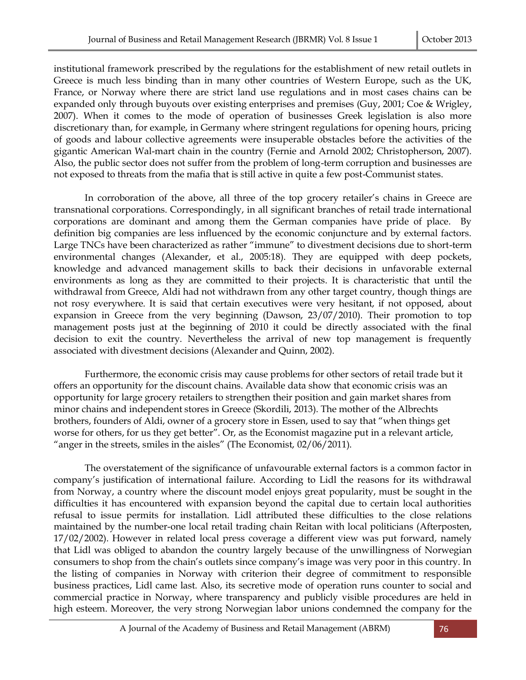institutional framework prescribed by the regulations for the establishment of new retail outlets in Greece is much less binding than in many other countries of Western Europe, such as the UK, France, or Norway where there are strict land use regulations and in most cases chains can be expanded only through buyouts over existing enterprises and premises (Guy, 2001; Coe & Wrigley, 2007). When it comes to the mode of operation of businesses Greek legislation is also more discretionary than, for example, in Germany where stringent regulations for opening hours, pricing of goods and labour collective agreements were insuperable obstacles before the activities of the gigantic American Wal-mart chain in the country (Fernie and Arnold 2002; Christopherson, 2007). Also, the public sector does not suffer from the problem of long-term corruption and businesses are not exposed to threats from the mafia that is still active in quite a few post-Communist states.

In corroboration of the above, all three of the top grocery retailer's chains in Greece are transnational corporations. Correspondingly, in all significant branches of retail trade international corporations are dominant and among them the German companies have pride of place. By definition big companies are less influenced by the economic conjuncture and by external factors. Large TNCs have been characterized as rather "immune" to divestment decisions due to short-term environmental changes (Alexander, et al., 2005:18). They are equipped with deep pockets, knowledge and advanced management skills to back their decisions in unfavorable external environments as long as they are committed to their projects. It is characteristic that until the withdrawal from Greece, Aldi had not withdrawn from any other target country, though things are not rosy everywhere. It is said that certain executives were very hesitant, if not opposed, about expansion in Greece from the very beginning (Dawson, 23/07/2010). Their promotion to top management posts just at the beginning of 2010 it could be directly associated with the final decision to exit the country. Nevertheless the arrival of new top management is frequently associated with divestment decisions (Alexander and Quinn, 2002).

Furthermore, the economic crisis may cause problems for other sectors of retail trade but it offers an opportunity for the discount chains. Available data show that economic crisis was an opportunity for large grocery retailers to strengthen their position and gain market shares from minor chains and independent stores in Greece (Skordili, 2013). The mother of the Albrechts brothers, founders of Aldi, owner of a grocery store in Essen, used to say that "when things get worse for others, for us they get better". Or, as the Economist magazine put in a relevant article, "anger in the streets, smiles in the aisles" (The Economist, 02/06/2011).

The overstatement of the significance of unfavourable external factors is a common factor in company's justification of international failure. According to Lidl the reasons for its withdrawal from Norway, a country where the discount model enjoys great popularity, must be sought in the difficulties it has encountered with expansion beyond the capital due to certain local authorities refusal to issue permits for installation. Lidl attributed these difficulties to the close relations maintained by the number-one local retail trading chain Reitan with local politicians (Afterposten, 17/02/2002). However in related local press coverage a different view was put forward, namely that Lidl was obliged to abandon the country largely because of the unwillingness of Norwegian consumers to shop from the chain's outlets since company's image was very poor in this country. In the listing of companies in Norway with criterion their degree of commitment to responsible business practices, Lidl came last. Also, its secretive mode of operation runs counter to social and commercial practice in Norway, where transparency and publicly visible procedures are held in high esteem. Moreover, the very strong Norwegian labor unions condemned the company for the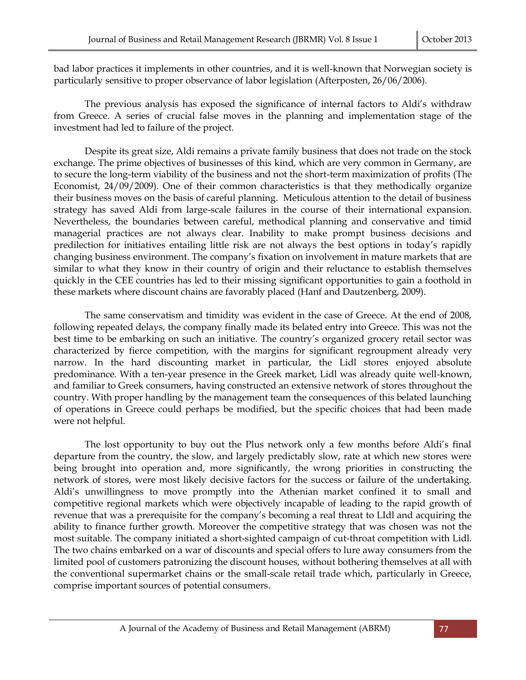bad labor practices it implements in other countries, and it is well-known that Norwegian society is particularly sensitive to proper observance of labor legislation (Afterposten, 26/06/2006).

The previous analysis has exposed the significance of internal factors to Aldi's withdraw from Greece. A series of crucial false moves in the planning and implementation stage of the investment had led to failure of the project.

Despite its great size, Aldi remains a private family business that does not trade on the stock exchange. The prime objectives of businesses of this kind, which are very common in Germany, are to secure the long-term viability of the business and not the short-term maximization of profits (The Economist, 24/09/2009). One of their common characteristics is that they methodically organize their business moves on the basis of careful planning. Meticulous attention to the detail of business strategy has saved Aldi from large-scale failures in the course of their international expansion. Nevertheless, the boundaries between careful, methodical planning and conservative and timid managerial practices are not always clear. Inability to make prompt business decisions and predilection for initiatives entailing little risk are not always the best options in today's rapidly changing business environment. The company's fixation on involvement in mature markets that are similar to what they know in their country of origin and their reluctance to establish themselves quickly in the CEE countries has led to their missing significant opportunities to gain a foothold in these markets where discount chains are favorably placed (Hanf and Dautzenberg, 2009).

The same conservatism and timidity was evident in the case of Greece. At the end of 2008, following repeated delays, the company finally made its belated entry into Greece. This was not the best time to be embarking on such an initiative. The country's organized grocery retail sector was characterized by fierce competition, with the margins for significant regroupment already very narrow. In the hard discounting market in particular, the Lidl stores enjoyed absolute predominance. With a ten-year presence in the Greek market, Lidl was already quite well-known, and familiar to Greek consumers, having constructed an extensive network of stores throughout the country. With proper handling by the management team the consequences of this belated launching of operations in Greece could perhaps be modified, but the specific choices that had been made were not helpful.

The lost opportunity to buy out the Plus network only a few months before Aldi's final departure from the country, the slow, and largely predictably slow, rate at which new stores were being brought into operation and, more significantly, the wrong priorities in constructing the network of stores, were most likely decisive factors for the success or failure of the undertaking. Aldi's unwillingness to move promptly into the Athenian market confined it to small and competitive regional markets which were objectively incapable of leading to the rapid growth of revenue that was a prerequisite for the company's becoming a real threat to LIdl and acquiring the ability to finance further growth. Moreover the competitive strategy that was chosen was not the most suitable. The company initiated a short-sighted campaign of cut-throat competition with Lidl. The two chains embarked on a war of discounts and special offers to lure away consumers from the limited pool of customers patronizing the discount houses, without bothering themselves at all with the conventional supermarket chains or the small-scale retail trade which, particularly in Greece, comprise important sources of potential consumers.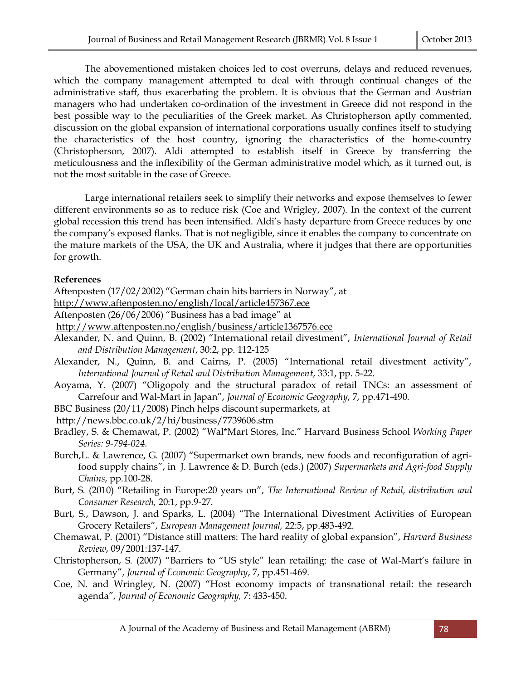The abovementioned mistaken choices led to cost overruns, delays and reduced revenues, which the company management attempted to deal with through continual changes of the administrative staff, thus exacerbating the problem. It is obvious that the German and Austrian managers who had undertaken co-ordination of the investment in Greece did not respond in the best possible way to the peculiarities of the Greek market. As Christopherson aptly commented, discussion on the global expansion of international corporations usually confines itself to studying the characteristics of the host country, ignoring the characteristics of the home-country (Christopherson, 2007). Aldi attempted to establish itself in Greece by transferring the meticulousness and the inflexibility of the German administrative model which, as it turned out, is not the most suitable in the case of Greece.

Large international retailers seek to simplify their networks and expose themselves to fewer different environments so as to reduce risk (Coe and Wrigley, 2007). In the context of the current global recession this trend has been intensified. Aldi's hasty departure from Greece reduces by one the company's exposed flanks. That is not negligible, since it enables the company to concentrate on the mature markets of the USA, the UK and Australia, where it judges that there are opportunities for growth.

#### **References**

Aftenposten (17/02/2002) "German chain hits barriers in Norway", at

<http://www.aftenposten.no/english/local/article457367.ece>

- Aftenposten (26/06/2006) "Business has a bad image" at
- <http://www.aftenposten.no/english/business/article1367576.ece>
- Alexander, N. and Quinn, B. (2002) "International retail divestment", *International Journal of Retail and Distribution Management*, 30:2, pp. 112-125
- Alexander, N., Quinn, B. and Cairns, P. (2005) "International retail divestment activity", *International Journal of Retail and Distribution Management*, 33:1, pp. 5-22.
- Aoyama, Y. (2007) "Oligopoly and the structural paradox of retail TNCs: an assessment of Carrefour and Wal-Mart in Japan", *Journal of Economic Geography*, 7, pp.471-490.
- BBC Business (20/11/2008) Pinch helps discount supermarkets, at

<http://news.bbc.co.uk/2/hi/business/7739606.stm>

- Bradley, S. & Chemawat, P. (2002) "Wal\*Mart Stores, Inc." Harvard Business School *Working Paper Series: 9-794-024.*
- Burch,L. & Lawrence, G. (2007) "Supermarket own brands, new foods and reconfiguration of agrifood supply chains", in J. Lawrence & D. Burch (eds.) (2007) *Supermarkets and Agri-food Supply Chains*, pp.100-28.
- Burt, S. (2010) "Retailing in Europe:20 years on", *The International Review of Retail, distribution and Consumer Research,* 20:1, pp.9-27.
- Burt, S., Dawson, J. and Sparks, L. (2004) "The International Divestment Activities of European Grocery Retailers", *European Management Journal,* 22:5, pp.483-492.
- Chemawat, P. (2001) "Distance still matters: The hard reality of global expansion", *Harvard Business Review*, 09/2001:137-147.
- Christopherson, S. (2007) "Barriers to "US style" lean retailing: the case of Wal-Mart's failure in Germany", *Journal of Economic Geography*, 7, pp.451-469.
- Coe, N. and Wringley, N. (2007) "Host economy impacts of transnational retail: the research agenda", *Journal of Economic Geography,* 7: 433-450.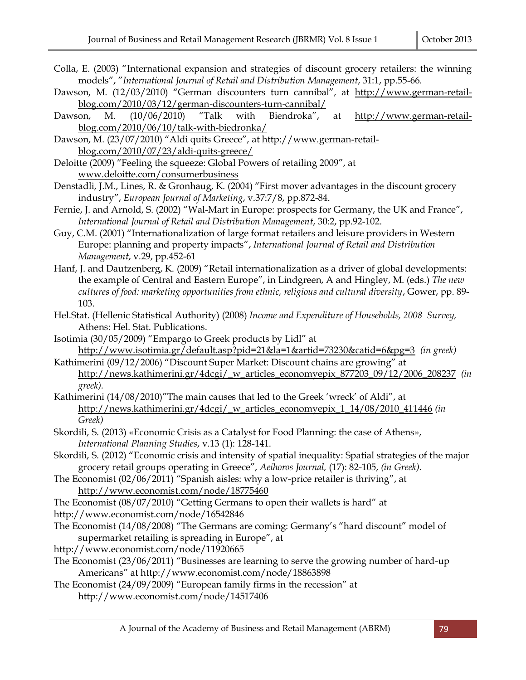- Colla, E. (2003) "International expansion and strategies of discount grocery retailers: the winning models", "*International Journal of Retail and Distribution Management*, 31:1, pp.55-66.
- Dawson, M. (12/03/2010) "German discounters turn cannibal", at [http://www.german-retail](http://www.german-retail-blog.com/2010/03/12/german-discounters-turn-cannibal/)[blog.com/2010/03/12/german-discounters-turn-cannibal/](http://www.german-retail-blog.com/2010/03/12/german-discounters-turn-cannibal/)
- Dawson, M. (10/06/2010) "Talk with Biendroka", at [http://www.german-retail](http://www.german-retail-blog.com/2010/06/10/talk-with-biedronka/)[blog.com/2010/06/10/talk-with-biedronka/](http://www.german-retail-blog.com/2010/06/10/talk-with-biedronka/)
- Dawson, M. (23/07/2010) "Aldi quits Greece", at [http://www.german-retail](http://www.german-retail-blog.com/2010/07/23/aldi-quits-greece/)[blog.com/2010/07/23/aldi-quits-greece/](http://www.german-retail-blog.com/2010/07/23/aldi-quits-greece/)
- Deloitte (2009) "Feeling the squeeze: Global Powers of retailing 2009", at [www.deloitte.com/consumerbusiness](http://www.deloitte.com/consumerbusiness)
- Denstadli, J.M., Lines, R. & Gronhaug, K. (2004) "First mover advantages in the discount grocery industry", *European Journal of Marketing*, v.37:7/8, pp.872-84.
- Fernie, J. and Arnold, S. (2002) "Wal-Mart in Europe: prospects for Germany, the UK and France", *International Journal of Retail and Distribution Management*, 30:2, pp.92-102.
- Guy, C.M. (2001) "Internationalization of large format retailers and leisure providers in Western Europe: planning and property impacts", *International Journal of Retail and Distribution Management*, v.29, pp.452-61
- Hanf, J. and Dautzenberg, K. (2009) "Retail internationalization as a driver of global developments: the example of Central and Eastern Europe", in Lindgreen, A and Hingley, M. (eds.) *The new cultures of food: marketing opportunities from ethnic, religious and cultural diversity*, Gower, pp. 89- 103.
- Hel.Stat. (Hellenic Statistical Authority) (2008) *Income and Expenditure of Households, 2008 Survey,*  Athens: Hel. Stat. Publications.
- Isotimia (30/05/2009) "Empargo to Greek products by Lidl" at <http://www.isotimia.gr/default.asp?pid=21&la=1&artid=73230&catid=6&pg=3> *(in greek)*
- Kathimerini (09/12/2006) "Discount Super Market: Discount chains are growing" at [http://news.kathimerini.gr/4dcgi/\\_w\\_articles\\_economyepix\\_877203\\_09/12/2006\\_208237](http://news.kathimerini.gr/4dcgi/_w_articles_economyepix_877203_09/12/2006_208237) *(in greek).*
- Kathimerini (14/08/2010)"The main causes that led to the Greek 'wreck' of Aldi", at [http://news.kathimerini.gr/4dcgi/\\_w\\_articles\\_economyepix\\_1\\_14/08/2010\\_411446](http://news.kathimerini.gr/4dcgi/_w_articles_economyepix_1_14/08/2010_411446) *(in Greek)*
- Skordili, S. (2013) «Economic Crisis as a Catalyst for Food Planning: the case of Athens», *International Planning Studies*, v.13 (1): 128-141.
- Skordili, S. (2012) "Economic crisis and intensity of spatial inequality: Spatial strategies of the major grocery retail groups operating in Greece", *Aeihoros Journal,* (17): 82-105, *(in Greek).*
- The Economist (02/06/2011) "Spanish aisles: why a low-price retailer is thriving", at <http://www.economist.com/node/18775460>
- The Economist (08/07/2010) "Getting Germans to open their wallets is hard" at
- http://www.economist.com/node/16542846
- The Economist (14/08/2008) "The Germans are coming: Germany's "hard discount" model of supermarket retailing is spreading in Europe", at
- http://www.economist.com/node/11920665
- The Economist (23/06/2011) "Businesses are learning to serve the growing number of hard-up Americans" at http://www.economist.com/node/18863898
- The Economist (24/09/2009) "European family firms in the recession" at http://www.economist.com/node/14517406